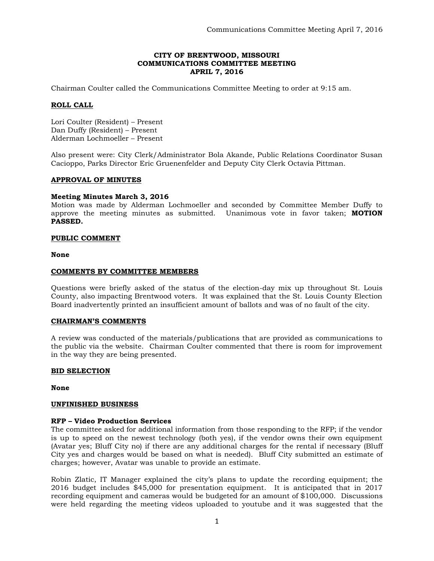## **CITY OF BRENTWOOD, MISSOURI COMMUNICATIONS COMMITTEE MEETING APRIL 7, 2016**

Chairman Coulter called the Communications Committee Meeting to order at 9:15 am.

## **ROLL CALL**

Lori Coulter (Resident) – Present Dan Duffy (Resident) – Present Alderman Lochmoeller – Present

Also present were: City Clerk/Administrator Bola Akande, Public Relations Coordinator Susan Cacioppo, Parks Director Eric Gruenenfelder and Deputy City Clerk Octavia Pittman.

## **APPROVAL OF MINUTES**

## **Meeting Minutes March 3, 2016**

Motion was made by Alderman Lochmoeller and seconded by Committee Member Duffy to approve the meeting minutes as submitted. Unanimous vote in favor taken; **MOTION PASSED.** 

## **PUBLIC COMMENT**

**None**

#### **COMMENTS BY COMMITTEE MEMBERS**

Questions were briefly asked of the status of the election-day mix up throughout St. Louis County, also impacting Brentwood voters. It was explained that the St. Louis County Election Board inadvertently printed an insufficient amount of ballots and was of no fault of the city.

#### **CHAIRMAN'S COMMENTS**

A review was conducted of the materials/publications that are provided as communications to the public via the website. Chairman Coulter commented that there is room for improvement in the way they are being presented.

#### **BID SELECTION**

**None**

#### **UNFINISHED BUSINESS**

#### **RFP – Video Production Services**

The committee asked for additional information from those responding to the RFP; if the vendor is up to speed on the newest technology (both yes), if the vendor owns their own equipment (Avatar yes; Bluff City no) if there are any additional charges for the rental if necessary (Bluff City yes and charges would be based on what is needed). Bluff City submitted an estimate of charges; however, Avatar was unable to provide an estimate.

Robin Zlatic, IT Manager explained the city's plans to update the recording equipment; the 2016 budget includes \$45,000 for presentation equipment. It is anticipated that in 2017 recording equipment and cameras would be budgeted for an amount of \$100,000. Discussions were held regarding the meeting videos uploaded to youtube and it was suggested that the